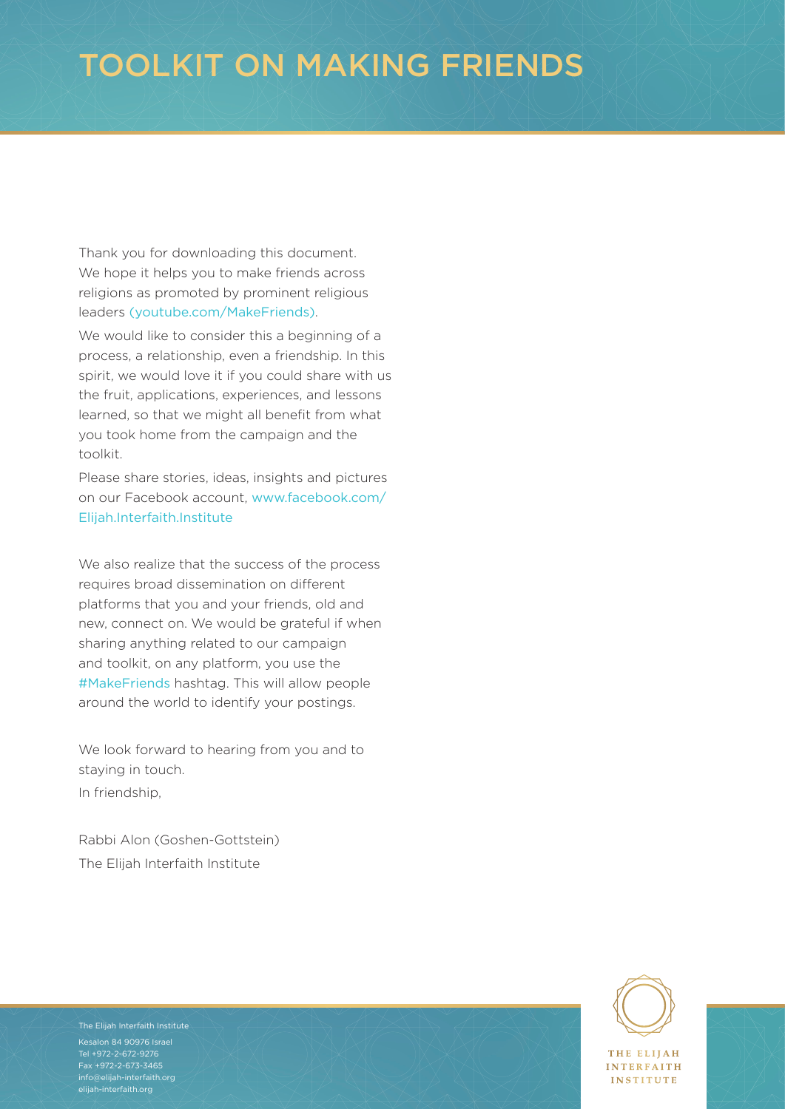# TOOLKIT ON MAKING FRIENDS

Thank you for downloading this document. We hope it helps you to make friends across religions as promoted by prominent religious leaders [\(youtube.com/MakeFriends\)](https://www.youtube.com/MakeFriends).

We would like to consider this a beginning of a process, a relationship, even a friendship. In this spirit, we would love it if you could share with us the fruit, applications, experiences, and lessons learned, so that we might all benefit from what you took home from the campaign and the toolkit.

Please share stories, ideas, insights and pictures on our Facebook account, [www.facebook.com/](https://www.facebook.com/Elijah.Interfaith.Institute) [Elijah.Interfaith.Institute](https://www.facebook.com/Elijah.Interfaith.Institute)

We also realize that the success of the process requires broad dissemination on different platforms that you and your friends, old and new, connect on. We would be grateful if when sharing anything related to our campaign and toolkit, on any platform, you use the #MakeFriends hashtag. This will allow people around the world to identify your postings.

We look forward to hearing from you and to staying in touch. In friendship,

Rabbi Alon (Goshen-Gottstein) The Elijah Interfaith Institute

**THE ELITAH INTERFAITH INSTITUTE** 



TOOLKIT ON MAKING FRIENDS Fax +972-2-673-3465 The Elijah Interfaith Institute Kesalon 84 90976 Israel Tel +972-2-672-9276 [info@elijah-interfaith.org](mailto:info%40elijah-interfaith.org?subject=) [elijah-interfaith.org](http://elijah-interfaith.org)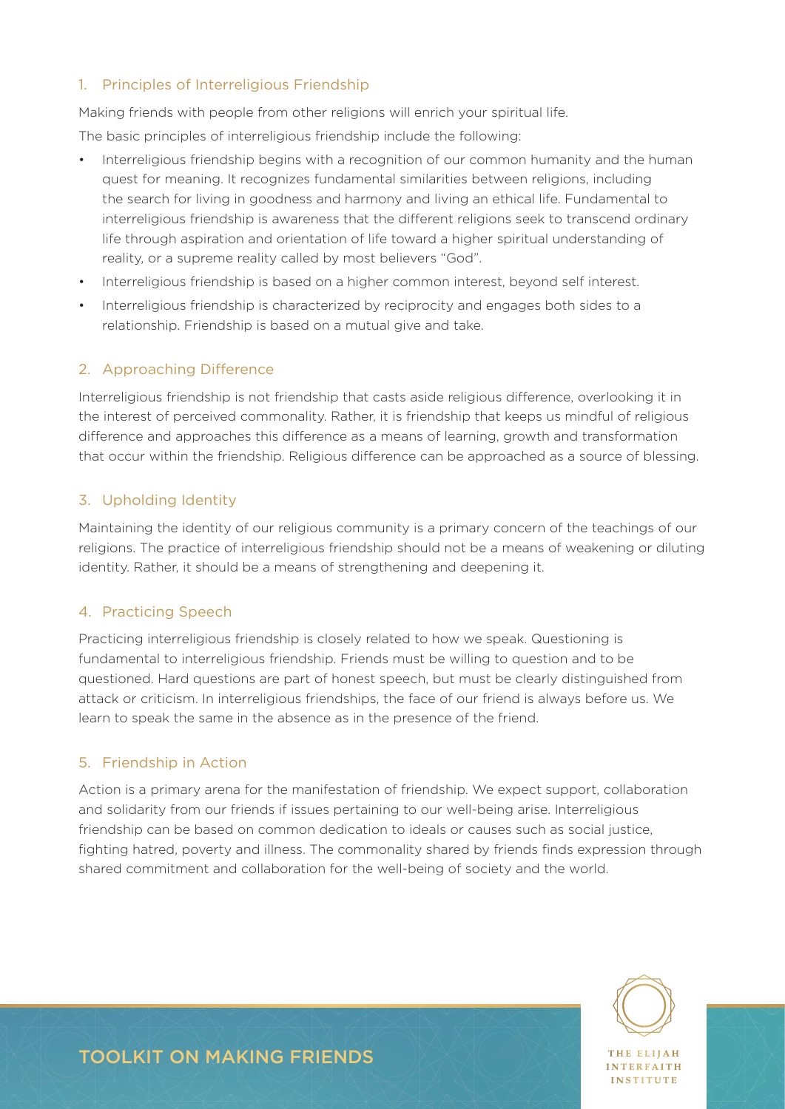#### 1. Principles of Interreligious Friendship

Making friends with people from other religions will enrich your spiritual life.

The basic principles of interreligious friendship include the following:

- Interreligious friendship begins with a recognition of our common humanity and the human quest for meaning. It recognizes fundamental similarities between religions, including the search for living in goodness and harmony and living an ethical life. Fundamental to interreligious friendship is awareness that the different religions seek to transcend ordinary life through aspiration and orientation of life toward a higher spiritual understanding of reality, or a supreme reality called by most believers "God".
- Interreligious friendship is based on a higher common interest, beyond self interest.
- Interreligious friendship is characterized by reciprocity and engages both sides to a relationship. Friendship is based on a mutual give and take.

### 2. Approaching Difference

Interreligious friendship is not friendship that casts aside religious difference, overlooking it in the interest of perceived commonality. Rather, it is friendship that keeps us mindful of religious difference and approaches this difference as a means of learning, growth and transformation that occur within the friendship. Religious difference can be approached as a source of blessing.

### 3. Upholding Identity

Maintaining the identity of our religious community is a primary concern of the teachings of our religions. The practice of interreligious friendship should not be a means of weakening or diluting identity. Rather, it should be a means of strengthening and deepening it.

#### 4. Practicing Speech

Practicing interreligious friendship is closely related to how we speak. Questioning is fundamental to interreligious friendship. Friends must be willing to question and to be questioned. Hard questions are part of honest speech, but must be clearly distinguished from attack or criticism. In interreligious friendships, the face of our friend is always before us. We learn to speak the same in the absence as in the presence of the friend.

#### 5. Friendship in Action

Action is a primary arena for the manifestation of friendship. We expect support, collaboration and solidarity from our friends if issues pertaining to our well-being arise. Interreligious friendship can be based on common dedication to ideals or causes such as social justice, fighting hatred, poverty and illness. The commonality shared by friends finds expression through shared commitment and collaboration for the well-being of society and the world.



**INTEREAITH** INSTITUTE

## TOOLKIT ON MAKING FRIENDS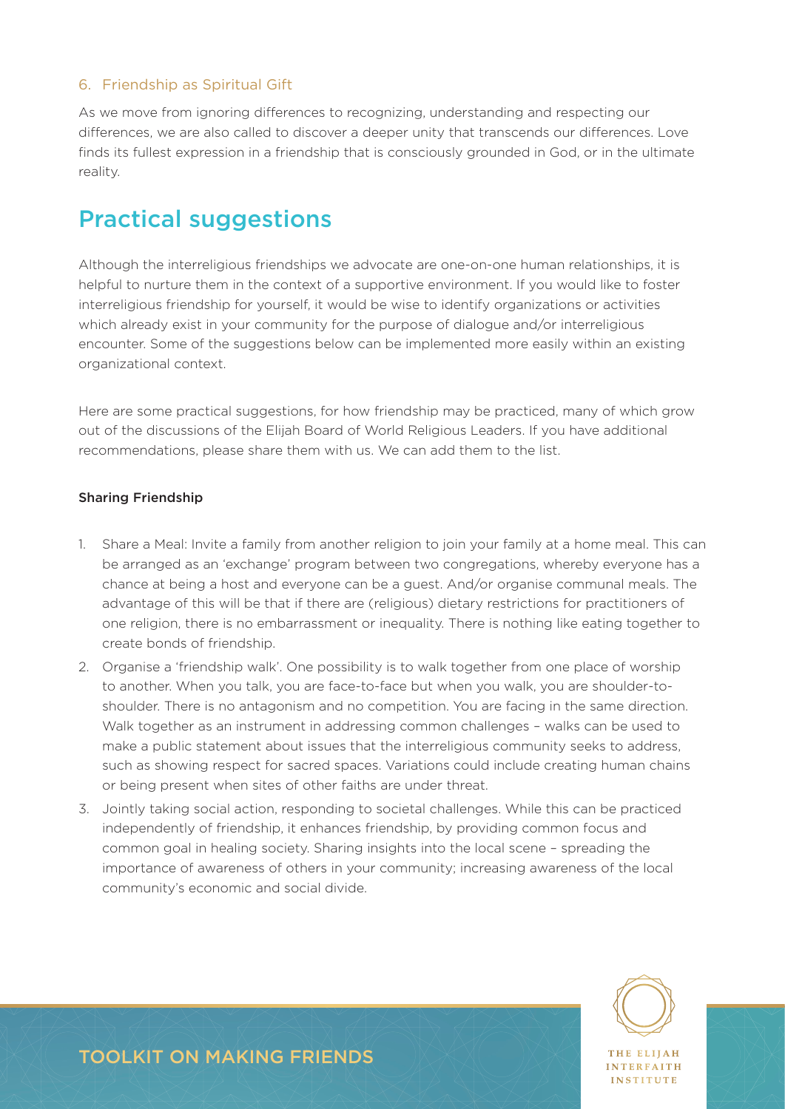#### 6. Friendship as Spiritual Gift

As we move from ignoring differences to recognizing, understanding and respecting our differences, we are also called to discover a deeper unity that transcends our differences. Love finds its fullest expression in a friendship that is consciously grounded in God, or in the ultimate reality.

### Practical suggestions

Although the interreligious friendships we advocate are one-on-one human relationships, it is helpful to nurture them in the context of a supportive environment. If you would like to foster interreligious friendship for yourself, it would be wise to identify organizations or activities which already exist in your community for the purpose of dialogue and/or interreligious encounter. Some of the suggestions below can be implemented more easily within an existing organizational context.

Here are some practical suggestions, for how friendship may be practiced, many of which grow out of the discussions of the Elijah Board of World Religious Leaders. If you have additional recommendations, please share them with us. We can add them to the list.

#### Sharing Friendship

- 1. Share a Meal: Invite a family from another religion to join your family at a home meal. This can be arranged as an 'exchange' program between two congregations, whereby everyone has a chance at being a host and everyone can be a guest. And/or organise communal meals. The advantage of this will be that if there are (religious) dietary restrictions for practitioners of one religion, there is no embarrassment or inequality. There is nothing like eating together to create bonds of friendship.
- 2. Organise a 'friendship walk'. One possibility is to walk together from one place of worship to another. When you talk, you are face-to-face but when you walk, you are shoulder-toshoulder. There is no antagonism and no competition. You are facing in the same direction. Walk together as an instrument in addressing common challenges – walks can be used to make a public statement about issues that the interreligious community seeks to address, such as showing respect for sacred spaces. Variations could include creating human chains or being present when sites of other faiths are under threat.
- 3. Jointly taking social action, responding to societal challenges. While this can be practiced independently of friendship, it enhances friendship, by providing common focus and common goal in healing society. Sharing insights into the local scene – spreading the importance of awareness of others in your community; increasing awareness of the local community's economic and social divide.



**NTEREAITH** INSTITUTE

### TOOLKIT ON MAKING FRIENDS